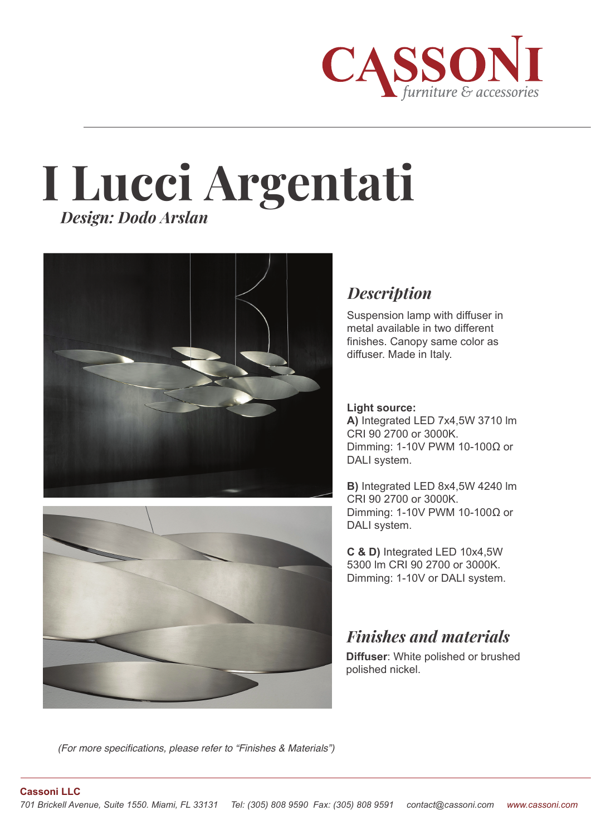

# **I Lucci Argentati** *Design: Dodo Arslan*





## *Description*

Suspension lamp with diffuser in metal available in two different finishes. Canopy same color as diffuser. Made in Italy.

#### **Light source:**

**A)** Integrated LED 7x4,5W 3710 lm CRI 90 2700 or 3000K. Dimming: 1-10V PWM 10-100Ω or DALI system.

**B)** Integrated LED 8x4,5W 4240 lm CRI 90 2700 or 3000K. Dimming: 1-10V PWM 10-100Ω or DALI system.

**C & D)** Integrated LED 10x4,5W 5300 lm CRI 90 2700 or 3000K. Dimming: 1-10V or DALI system.

# *Finishes and materials*

**Diffuser**: White polished or brushed polished nickel.

*(For more specifications, please refer to "Finishes & Materials")*